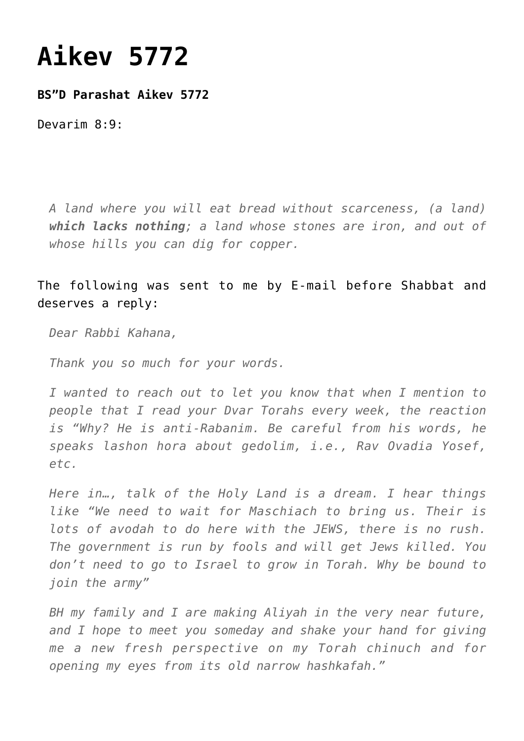## **[Aikev 5772](https://nachmankahana.com/aikev-5772/)**

**BS"D Parashat Aikev 5772**

Devarim 8:9:

*A land where you will eat bread without scarceness, (a land) which lacks nothing; a land whose stones are iron, and out of whose hills you can dig for copper.*

The following was sent to me by E-mail before Shabbat and deserves a reply:

*Dear Rabbi Kahana,*

*Thank you so much for your words.*

*I wanted to reach out to let you know that when I mention to people that I read your Dvar Torahs every week, the reaction is "Why? He is anti-Rabanim. Be careful from his words, he speaks lashon hora about gedolim, i.e., Rav Ovadia Yosef, etc.*

*Here in…, talk of the Holy Land is a dream. I hear things like "We need to wait for Maschiach to bring us. Their is lots of avodah to do here with the JEWS, there is no rush. The government is run by fools and will get Jews killed. You don't need to go to Israel to grow in Torah. Why be bound to join the army"*

*BH my family and I are making Aliyah in the very near future, and I hope to meet you someday and shake your hand for giving me a new fresh perspective on my Torah chinuch and for opening my eyes from its old narrow hashkafah."*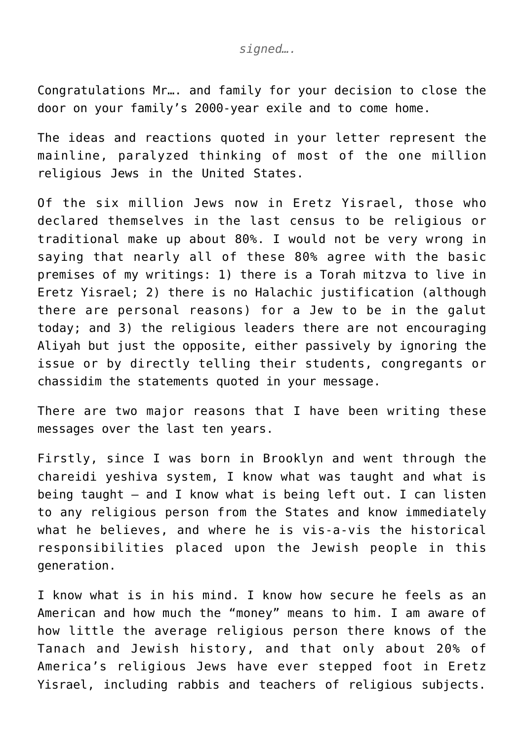Congratulations Mr…. and family for your decision to close the door on your family's 2000-year exile and to come home.

The ideas and reactions quoted in your letter represent the mainline, paralyzed thinking of most of the one million religious Jews in the United States.

Of the six million Jews now in Eretz Yisrael, those who declared themselves in the last census to be religious or traditional make up about 80%. I would not be very wrong in saying that nearly all of these 80% agree with the basic premises of my writings: 1) there is a Torah mitzva to live in Eretz Yisrael; 2) there is no Halachic justification (although there are personal reasons) for a Jew to be in the galut today; and 3) the religious leaders there are not encouraging Aliyah but just the opposite, either passively by ignoring the issue or by directly telling their students, congregants or chassidim the statements quoted in your message.

There are two major reasons that I have been writing these messages over the last ten years.

Firstly, since I was born in Brooklyn and went through the chareidi yeshiva system, I know what was taught and what is being taught – and I know what is being left out. I can listen to any religious person from the States and know immediately what he believes, and where he is vis-a-vis the historical responsibilities placed upon the Jewish people in this generation.

I know what is in his mind. I know how secure he feels as an American and how much the "money" means to him. I am aware of how little the average religious person there knows of the Tanach and Jewish history, and that only about 20% of America's religious Jews have ever stepped foot in Eretz Yisrael, including rabbis and teachers of religious subjects.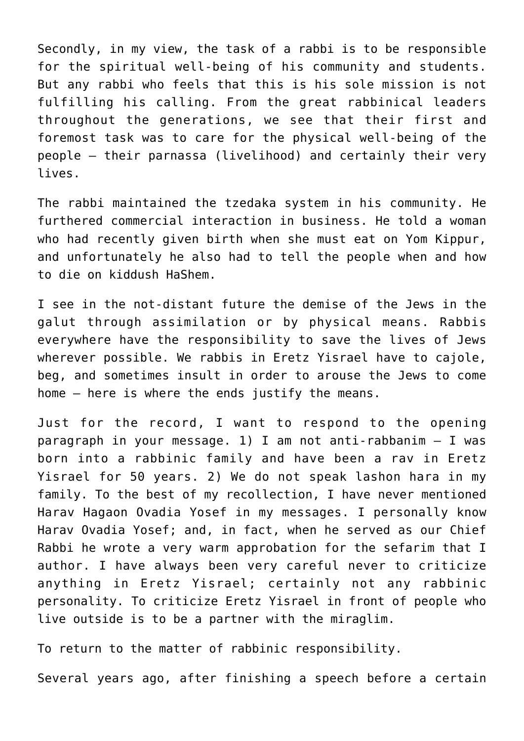Secondly, in my view, the task of a rabbi is to be responsible for the spiritual well-being of his community and students. But any rabbi who feels that this is his sole mission is not fulfilling his calling. From the great rabbinical leaders throughout the generations, we see that their first and foremost task was to care for the physical well-being of the people – their parnassa (livelihood) and certainly their very lives.

The rabbi maintained the tzedaka system in his community. He furthered commercial interaction in business. He told a woman who had recently given birth when she must eat on Yom Kippur, and unfortunately he also had to tell the people when and how to die on kiddush HaShem.

I see in the not-distant future the demise of the Jews in the galut through assimilation or by physical means. Rabbis everywhere have the responsibility to save the lives of Jews wherever possible. We rabbis in Eretz Yisrael have to cajole, beg, and sometimes insult in order to arouse the Jews to come home – here is where the ends justify the means.

Just for the record, I want to respond to the opening paragraph in your message. 1) I am not anti-rabbanim – I was born into a rabbinic family and have been a rav in Eretz Yisrael for 50 years. 2) We do not speak lashon hara in my family. To the best of my recollection, I have never mentioned Harav Hagaon Ovadia Yosef in my messages. I personally know Harav Ovadia Yosef; and, in fact, when he served as our Chief Rabbi he wrote a very warm approbation for the sefarim that I author. I have always been very careful never to criticize anything in Eretz Yisrael; certainly not any rabbinic personality. To criticize Eretz Yisrael in front of people who live outside is to be a partner with the miraglim.

To return to the matter of rabbinic responsibility.

Several years ago, after finishing a speech before a certain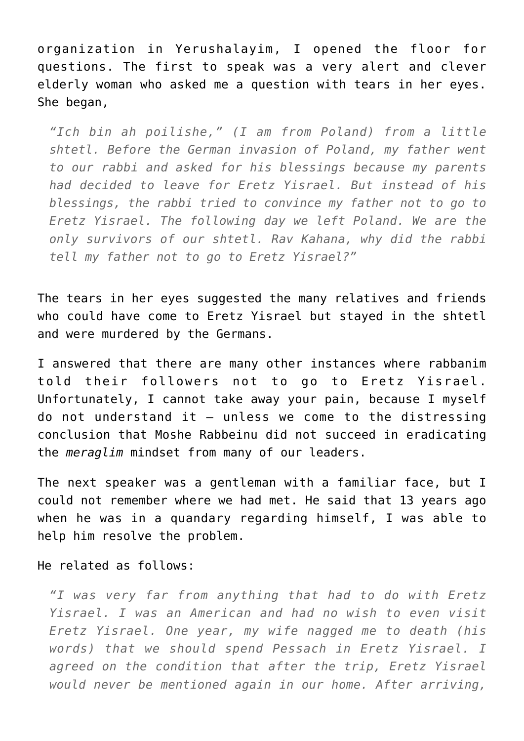organization in Yerushalayim, I opened the floor for questions. The first to speak was a very alert and clever elderly woman who asked me a question with tears in her eyes. She began,

*"Ich bin ah poilishe," (I am from Poland) from a little shtetl. Before the German invasion of Poland, my father went to our rabbi and asked for his blessings because my parents had decided to leave for Eretz Yisrael. But instead of his blessings, the rabbi tried to convince my father not to go to Eretz Yisrael. The following day we left Poland. We are the only survivors of our shtetl. Rav Kahana, why did the rabbi tell my father not to go to Eretz Yisrael?"*

The tears in her eyes suggested the many relatives and friends who could have come to Eretz Yisrael but stayed in the shtetl and were murdered by the Germans.

I answered that there are many other instances where rabbanim told their followers not to go to Eretz Yisrael. Unfortunately, I cannot take away your pain, because I myself do not understand it – unless we come to the distressing conclusion that Moshe Rabbeinu did not succeed in eradicating the *meraglim* mindset from many of our leaders.

The next speaker was a gentleman with a familiar face, but I could not remember where we had met. He said that 13 years ago when he was in a quandary regarding himself, I was able to help him resolve the problem.

## He related as follows:

*"I was very far from anything that had to do with Eretz Yisrael. I was an American and had no wish to even visit Eretz Yisrael. One year, my wife nagged me to death (his words) that we should spend Pessach in Eretz Yisrael. I agreed on the condition that after the trip, Eretz Yisrael would never be mentioned again in our home. After arriving,*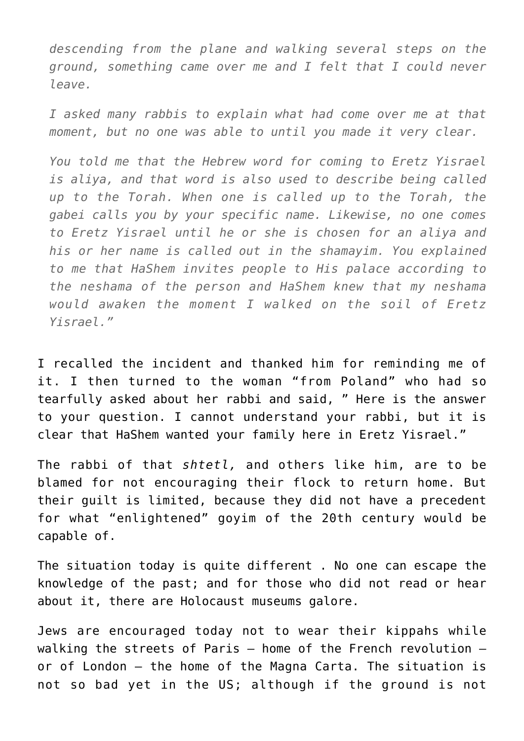*descending from the plane and walking several steps on the ground, something came over me and I felt that I could never leave.*

*I asked many rabbis to explain what had come over me at that moment, but no one was able to until you made it very clear.*

*You told me that the Hebrew word for coming to Eretz Yisrael is aliya, and that word is also used to describe being called up to the Torah. When one is called up to the Torah, the gabei calls you by your specific name. Likewise, no one comes to Eretz Yisrael until he or she is chosen for an aliya and his or her name is called out in the shamayim. You explained to me that HaShem invites people to His palace according to the neshama of the person and HaShem knew that my neshama would awaken the moment I walked on the soil of Eretz Yisrael."*

I recalled the incident and thanked him for reminding me of it. I then turned to the woman "from Poland" who had so tearfully asked about her rabbi and said, " Here is the answer to your question. I cannot understand your rabbi, but it is clear that HaShem wanted your family here in Eretz Yisrael."

The rabbi of that *shtetl,* and others like him, are to be blamed for not encouraging their flock to return home. But their guilt is limited, because they did not have a precedent for what "enlightened" goyim of the 20th century would be capable of.

The situation today is quite different . No one can escape the knowledge of the past; and for those who did not read or hear about it, there are Holocaust museums galore.

Jews are encouraged today not to wear their kippahs while walking the streets of Paris – home of the French revolution – or of London – the home of the Magna Carta. The situation is not so bad yet in the US; although if the ground is not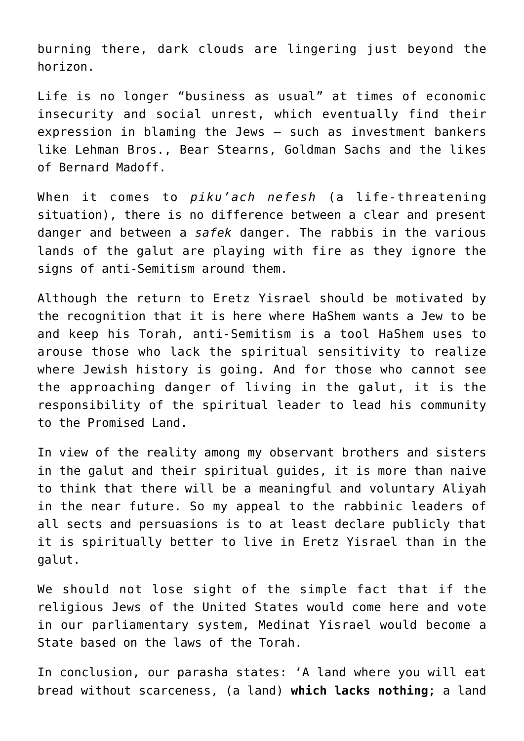burning there, dark clouds are lingering just beyond the horizon.

Life is no longer "business as usual" at times of economic insecurity and social unrest, which eventually find their expression in blaming the Jews – such as investment bankers like Lehman Bros., Bear Stearns, Goldman Sachs and the likes of Bernard Madoff.

When it comes to *piku'ach nefesh* (a life-threatening situation), there is no difference between a clear and present danger and between a *safek* danger. The rabbis in the various lands of the galut are playing with fire as they ignore the signs of anti-Semitism around them.

Although the return to Eretz Yisrael should be motivated by the recognition that it is here where HaShem wants a Jew to be and keep his Torah, anti-Semitism is a tool HaShem uses to arouse those who lack the spiritual sensitivity to realize where Jewish history is going. And for those who cannot see the approaching danger of living in the galut, it is the responsibility of the spiritual leader to lead his community to the Promised Land.

In view of the reality among my observant brothers and sisters in the galut and their spiritual guides, it is more than naive to think that there will be a meaningful and voluntary Aliyah in the near future. So my appeal to the rabbinic leaders of all sects and persuasions is to at least declare publicly that it is spiritually better to live in Eretz Yisrael than in the galut.

We should not lose sight of the simple fact that if the religious Jews of the United States would come here and vote in our parliamentary system, Medinat Yisrael would become a State based on the laws of the Torah.

In conclusion, our parasha states: 'A land where you will eat bread without scarceness, (a land) **which lacks nothing**; a land